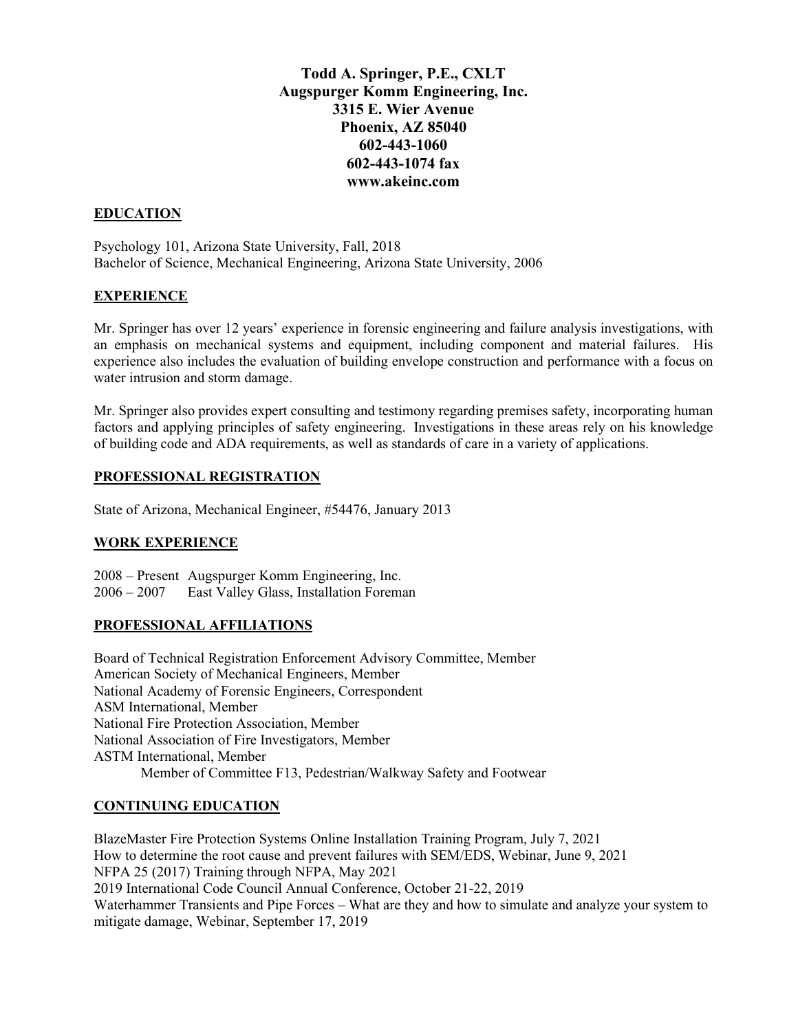**Todd A. Springer, P.E., CXLT Augspurger Komm Engineering, Inc. 3315 E. Wier Avenue Phoenix, AZ 85040 602-443-1060 602-443-1074 fax www.akeinc.com**

### **EDUCATION**

Psychology 101, Arizona State University, Fall, 2018 Bachelor of Science, Mechanical Engineering, Arizona State University, 2006

### **EXPERIENCE**

Mr. Springer has over 12 years' experience in forensic engineering and failure analysis investigations, with an emphasis on mechanical systems and equipment, including component and material failures. His experience also includes the evaluation of building envelope construction and performance with a focus on water intrusion and storm damage.

Mr. Springer also provides expert consulting and testimony regarding premises safety, incorporating human factors and applying principles of safety engineering. Investigations in these areas rely on his knowledge of building code and ADA requirements, as well as standards of care in a variety of applications.

### **PROFESSIONAL REGISTRATION**

State of Arizona, Mechanical Engineer, #54476, January 2013

# **WORK EXPERIENCE**

2008 – Present Augspurger Komm Engineering, Inc. 2006 – 2007 East Valley Glass, Installation Foreman

#### **PROFESSIONAL AFFILIATIONS**

Board of Technical Registration Enforcement Advisory Committee, Member American Society of Mechanical Engineers, Member National Academy of Forensic Engineers, Correspondent ASM International, Member National Fire Protection Association, Member National Association of Fire Investigators, Member ASTM International, Member Member of Committee F13, Pedestrian/Walkway Safety and Footwear

#### **CONTINUING EDUCATION**

BlazeMaster Fire Protection Systems Online Installation Training Program, July 7, 2021 How to determine the root cause and prevent failures with SEM/EDS, Webinar, June 9, 2021 NFPA 25 (2017) Training through NFPA, May 2021 2019 International Code Council Annual Conference, October 21-22, 2019 Waterhammer Transients and Pipe Forces – What are they and how to simulate and analyze your system to mitigate damage, Webinar, September 17, 2019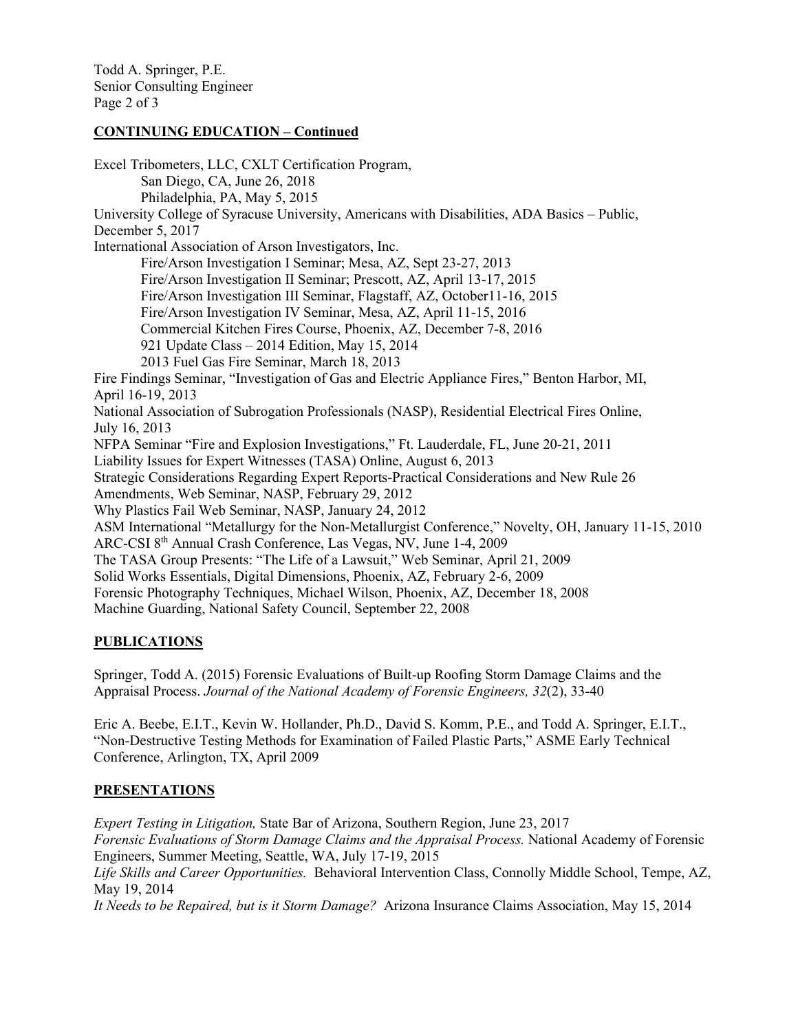Todd A. Springer, P.E. Senior Consulting Engineer Page 2 of 3

# **CONTINUING EDUCATION – Continued**

Excel Tribometers, LLC, CXLT Certification Program, San Diego, CA, June 26, 2018 Philadelphia, PA, May 5, 2015 University College of Syracuse University, Americans with Disabilities, ADA Basics – Public, December 5, 2017 International Association of Arson Investigators, Inc. Fire/Arson Investigation I Seminar; Mesa, AZ, Sept 23-27, 2013 Fire/Arson Investigation II Seminar; Prescott, AZ, April 13-17, 2015 Fire/Arson Investigation III Seminar, Flagstaff, AZ, October11-16, 2015 Fire/Arson Investigation IV Seminar, Mesa, AZ, April 11-15, 2016 Commercial Kitchen Fires Course, Phoenix, AZ, December 7-8, 2016 921 Update Class – 2014 Edition, May 15, 2014 2013 Fuel Gas Fire Seminar, March 18, 2013 Fire Findings Seminar, "Investigation of Gas and Electric Appliance Fires," Benton Harbor, MI, April 16-19, 2013 National Association of Subrogation Professionals (NASP), Residential Electrical Fires Online, July 16, 2013 NFPA Seminar "Fire and Explosion Investigations," Ft. Lauderdale, FL, June 20-21, 2011 Liability Issues for Expert Witnesses (TASA) Online, August 6, 2013 Strategic Considerations Regarding Expert Reports-Practical Considerations and New Rule 26 Amendments, Web Seminar, NASP, February 29, 2012 Why Plastics Fail Web Seminar, NASP, January 24, 2012 ASM International "Metallurgy for the Non-Metallurgist Conference," Novelty, OH, January 11-15, 2010 ARC-CSI 8th Annual Crash Conference, Las Vegas, NV, June 1-4, 2009 The TASA Group Presents: "The Life of a Lawsuit," Web Seminar, April 21, 2009 Solid Works Essentials, Digital Dimensions, Phoenix, AZ, February 2-6, 2009 Forensic Photography Techniques, Michael Wilson, Phoenix, AZ, December 18, 2008 Machine Guarding, National Safety Council, September 22, 2008

# **PUBLICATIONS**

Springer, Todd A. (2015) Forensic Evaluations of Built-up Roofing Storm Damage Claims and the Appraisal Process. *Journal of the National Academy of Forensic Engineers, 32*(2), 33-40

Eric A. Beebe, E.I.T., Kevin W. Hollander, Ph.D., David S. Komm, P.E., and Todd A. Springer, E.I.T., "Non-Destructive Testing Methods for Examination of Failed Plastic Parts," ASME Early Technical Conference, Arlington, TX, April 2009

# **PRESENTATIONS**

*Expert Testing in Litigation,* State Bar of Arizona, Southern Region, June 23, 2017 *Forensic Evaluations of Storm Damage Claims and the Appraisal Process.* National Academy of Forensic Engineers, Summer Meeting, Seattle, WA, July 17-19, 2015 *Life Skills and Career Opportunities.* Behavioral Intervention Class, Connolly Middle School, Tempe, AZ, May 19, 2014 *It Needs to be Repaired, but is it Storm Damage?* Arizona Insurance Claims Association, May 15, 2014